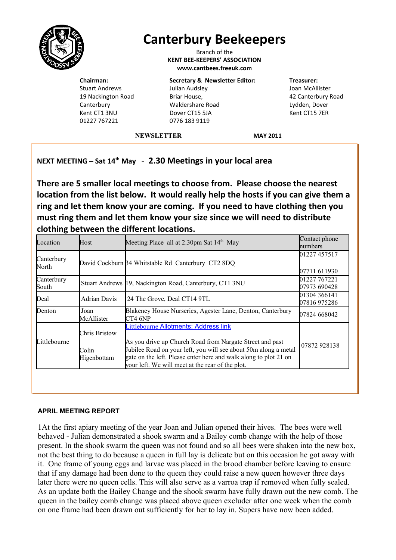

# **Canterbury Beekeepers**

Branch of the **KENT BEE-KEEPERS' ASSOCIATION www.cantbees.freeuk.com**

**Chairman:** Stuart Andrews 19 Nackington Road **Canterbury** Kent CT1 3NU 01227 767221

**Secretary & Newsletter Editor:** Julian Audsley Briar House, Waldershare Road Dover CT15 5JA 0776 183 9119

**Treasurer:** Joan McAllister 42 Canterbury Road Lydden, Dover Kent CT15 7ER

**NEWSLETTER MAY 2011**

**NEXT MEETING – Sat 14th May** - **2.30 Meetings in your local area**

**There are 5 smaller local meetings to choose from. Please choose the nearest location from the list below. It would really help the hosts if you can give them a ring and let them know your are coming. If you need to have clothing then you must ring them and let them know your size since we will need to distribute clothing between the different locations.**

| Location            | Host                                  | Meeting Place all at 2.30pm Sat $14th$ May                                                                                                                                                                                                                                                          | Contact phone<br>humbers     |
|---------------------|---------------------------------------|-----------------------------------------------------------------------------------------------------------------------------------------------------------------------------------------------------------------------------------------------------------------------------------------------------|------------------------------|
| Canterbury<br>North |                                       | David Cockburn 34 Whitstable Rd Canterbury CT2 8DQ                                                                                                                                                                                                                                                  | 01227 457517                 |
|                     |                                       |                                                                                                                                                                                                                                                                                                     | 07711 611930                 |
| Canterbury<br>South |                                       | Stuart Andrews [19, Nackington Road, Canterbury, CT1 3NU                                                                                                                                                                                                                                            | 01227 767221<br>07973 690428 |
| Deal                | <b>Adrian Davis</b>                   | 24 The Grove, Deal CT14 9TL                                                                                                                                                                                                                                                                         | 01304 366141<br>07816975286  |
| Denton              | Joan<br>McAllister                    | Blakeney House Nurseries, Agester Lane, Denton, Canterbury<br>CT4 6NP                                                                                                                                                                                                                               | 07824 668042                 |
| Littlebourne        | Chris Bristow<br>Colin<br>Higenbottam | <b>Littlebourne Allotments: Address link</b><br>As you drive up Church Road from Nargate Street and past<br>Jubilee Road on your left, you will see about 50m along a metal<br>gate on the left. Please enter here and walk along to plot 21 on<br>your left. We will meet at the rear of the plot. | 07872928138                  |

## **APRIL MEETING REPORT**

1At the first apiary meeting of the year Joan and Julian opened their hives. The bees were well behaved - Julian demonstrated a shook swarm and a Bailey comb change with the help of those present. In the shook swarm the queen was not found and so all bees were shaken into the new box, not the best thing to do because a queen in full lay is delicate but on this occasion he got away with it. One frame of young eggs and larvae was placed in the brood chamber before leaving to ensure that if any damage had been done to the queen they could raise a new queen however three days later there were no queen cells. This will also serve as a varroa trap if removed when fully sealed. As an update both the Bailey Change and the shook swarm have fully drawn out the new comb. The queen in the bailey comb change was placed above queen excluder after one week when the comb on one frame had been drawn out sufficiently for her to lay in. Supers have now been added.